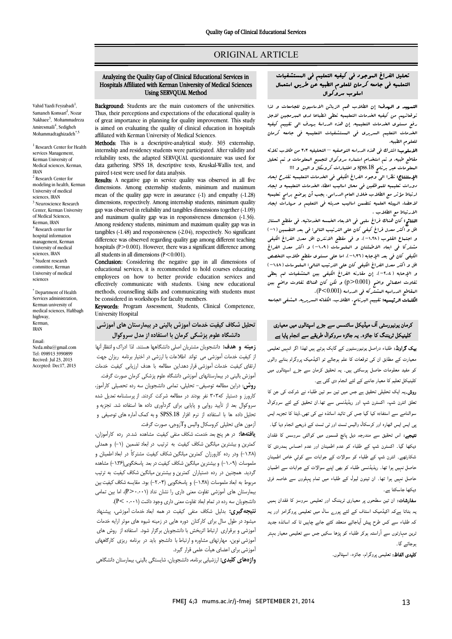## ORIGINAL ARTICLE

# Analyzing the Quality Gap of Clinical Educational Services in Hospitals Affiliated with Kerman University of Medical Sciences Using SERVQUAL Method

Ī  $\overline{a}$ 

Vahid Yazdi Feyzabadi<sup>1</sup>, Samaneh Komsari<sup>2</sup>, Nozar Nakhaee<sup>3</sup>, Mohammadreza Amiresmaili<sup>4</sup>, Sedigheh Mohammadtaghizadeh<sup>\*,5</sup>

<sup>1</sup> Research Center for Health services Management, Kerman University of Medical sciences, Kerman, IRAN <sup>2</sup> Research Center for modeling in health, Kerman University of medical sciences, **IRAN** <sup>3</sup> Neuroscience Research Center, Kerman University of Medical Sciences, Kerman, IRAN  $4$  Research center for hospital information management, Kerman University of medical sciences, IRAN <sup>5</sup> Student research committee, Kerman University of medical sciences

\* Department of Health Services administration, Kerman university of medical sciences, Haftbagh highway, Kerman, IRAN

Email: Neda.mba@gmail.com Tel: 098913 3990899 Recived: Jul 23, 2013 Accepted: Dec17, 2013

Background: Students are the main customers of the universities. Thus, their perceptions and expectations of the educational quality is is aimed on evaluating the quality of clinical education in hospitals affiliated with Kerman University of Medical Sciences. of great importance in planning for quality improvement. This study

 internship and residency students were participated. After validity and reliability tests, the adapted SERVQUAL questionnaire was used for data gathering. SPSS 18, descriptive tests, Kruskal-Wallis test, and Methods: This is a descriptive-analytical study. 303 externship, paired t-test were used for data analysis.

Results: A negative gap in service quality was observed in all five mean of the quality gap were in assurance (-1) and empathy (-1.28) dimensions, respectively. Among internship students, minimum quality and maximum quality gap was in responsiveness dimension (-1.36). Among residency students, minimum and maximum quality gap was in tangibles (-1.40) and responsiveness (-2.04), respectively. No significant<br>difference was observed regarding quality gap among different teaching hospitals (P>0.001). However, there was a significant difference among dimensions. Among externship students, minimum and maximum gap was observed in reliability and tangibles dimensions together (-1.09) tangibles (-1.48) and responsiveness (-2.04), respectively. No significant all students in all dimensions  $(P<0.001)$ .

all students in all dimensions (P<0.001).<br>**Conclusion:** Considering the negative gap in all dimensions of educational services, it is recommended to hold courses educating employees on how to better provide education services and<br>offectively communicate with students. Using now educational methods, counselling skills and communicating with students must be considered in workshops for faculty members.<br>**Example:** Program Assessment Students C effectively communicate with students. Using new educational

Keywords: Program Assessment, Students, Clinical Competence, University Hospital

# تحلیل شکاف کیفیت خدمات آموزش بالینی در بیمارستان هاي آموزشی دانشگاه علوم پزشکی کرمان با استفاده از مدل سروکوال

 زمینه و هدف: دانشجویان مشتریان اصلی دانشگاهها هستند. لذا ادراك وانتظار آنها از کیفیت خدمات آموزشی می تواند اطلاعات با ارزشی در اختیار برنامه ریزان جهت ارتقاي کیفیت خدمات آموزشی قرار دهد.این مطالعه با هدف ارزیابی کیفیت خدمات آموزش بالینی در بیمارستانهاي آموزشی دانشگاه علوم پزشکی کرمان صورت گرفت. **روسی.** درین مصابعه نوصیهی - تحیییی، نمامی دانسجویان شه زده تحصینی نازامور،<br>کارورز و دستیار که۳۰۳ نفر بودند در مطالعه شرکت کردند. از پرسشنامه تعدیل شده روش: دراین مطالعه توصیفی- تحلیلی، تمامی دانشجویان سه رده تحصیلی کارآموز،

۔ *درود کی تاریخ از تاریخ در از تاریخ کر تار*<br>سروکوال بعد از تأیید روایی و پایایی برای گردآوری داده ها استفاده شد. تجزیه و تحلیل داده ها با استفاده از نرم افزار .18SPSS و به کمک آماره هاي توصیفی و آزمون هاي تحلیلی کروسکال والیس وTزوجی، صورت گرفت.

 یافتهها: در هر پنج بعد خدمت، شکاف منفی کیفیت مشاهده شد.در رده کارآموزان، کمترین و بیشترین میانگین شکاف کیفیت به ترتیب در ابعاد تضمین (-1) و همدلی (-1.28 ) ودر رده کارورزان کمترین میانگین شکاف کیفیت مشترکاً در ابعاد اطمینان و منموست ۲۰۰۰ و بیسترین میدنین سنت نیشت در بعد پاستنمویی (۲۰۰۰ مساهده<br>گردید. همچنین در رده دستیاران کمترین و بیشترین میانگین شکاف کیفیت به ترتیب مربوط به ابعاد ملموسات (-1.48) و پاسخگویی (-2.04) بود. مقایسه شکافکیفیتبین بیمارستان هاي آموزشی تفاوت معنی داري را نشان نداد (0.001<P(، اما بین تمامی دانشجویان سه رده در تمام ابعاد تفاوت معنی داري وجود داشت (0.001 >P(. ملموسات (-1.09) و بیشترین میانگین شکاف کیفیت در بعد پاسخگویی(-1.36 ) مشاهده

 نتیجهگیري: بدلیل شکاف منفی کیفیت در همه ابعاد خدمات آموزشی، پیشنهاد میشود در طول سال براي کارکنان دوره هایی در زمینه شیوه هاي موثر ارایه خدمات آموزشی و برقراري ارتباط اثربخش با دانشجویان برگزار شود. استفاده از روش هاي آموزشی نوین، مهارتهاي مشاوره و ارتباط با دانشجو باید در برنامه ریزي کارگاههاي آموزشی براي اعضاي هیأت علمی قرار گیرد.

کرر کی برت<br>**واژههای کلیدی:** ارزشیابی برنامه، دانشجویان، شایستگی بالینی، بیمارستان دانشگاهی

#### تحلیل الفراغ الموجود فی کیفیه التعلیم فی المستشفیات .<br>. التعلمیه فی جامعه کرمان للعلوم الطبیه عن طریق استعمال اسلوب سروکوال

Ī  $\overline{a}$ 

 التمهید و الهدف: إن الطلاب هم الزبائن الاساسیون للجامعات و لذا توقعاتهم من کیفیه الخدمات التعلیمیه تعطی انطباعا لدي المبرمجین لاجل رفع مستوي الخدمات التعلیمیه. إن هذه الدراسۀ بهدف الی تقییم کیفیه الخدمات التعلیم السریري فی المستشفیات التعلیمیه فی جامعه کرمان للعلوم الطبیه.

ر . . . .<br>**الاسلوب:** اشترك فی هذه الدراسه التوصفیه – التحلیلیه ٢٠٣ من طلاب ثلاثه مقاطع طبیه. و تم استخدام استماره سروکوال لتجمیع المعلومات و تم تحلیل المعلومات عبر برنامج .18spss و اختبارات کروسکال و الیس و ؟؟؟

 الإستنتاج: نظرا الی وجود الفراغ الکیفی فی الخدمات التعلیمیه نقترح ایحاد ارتباط مؤثر مع الطلاب خلال العام الدراسی. یجب أن یوضع برامج تعلیمیه لاعضاء الهیئه العلمیه تتضمن اسالیب حدیثه فی التعلیم و مهارات ایجاد الارتباط مع الطلاب . دورات تعلیمیه للموظفین فی محال اسالیب اعطاء الخدمات التعلیمیه و ایجاد

ا**لنتائج:** کان هناك فراغ سلبی فی الابعاد الخمسه الخدماتیه. فی مقطع الستاژ<br>قدمت که مسلم این نوع نیسکرد و الستاری الله الستاری استاذه به الفتر و اجتماع القلوب (-1.28 )، و فی مقطع الانترن اقل معدل الفراغ الکیفی مشترکا فی ابعاد الاطمئنان و الملموسات (-1.09 ) و اکثر معدل الفراغ الکیفی کان فی بعد الإجابه (-1.36 ). اما علی مستوي مقطع طلاب التخصص اس و اکثر معدل الفراغ اللیفی کان علی الفریق الفاتی العلیوتیات (۱۰۵۸ ).<br>و اللٍاحابه ( ۲۰۰۴ ). إن مقارنه الفراغ الکیفی بین العتشفیات لم یعطی تفاوت احصائی واضح (0.001<p (و لکن کان هناك تفاوت واضح بین المقاطع الدراسیه المشترکه فی الدراسه (0.001>P(. اقل و اکثر معدل فراغ کیفی کان علی الترتیب التالی: فی بعد التضمین (-1) اقل و اکثر معدل الفراغ الکیفی کان علی الترتیب التالی: الملموسات (-1.48)

الکلمات الرئیسیه: تقییم البرنامج، الطلاب، الکفائه السریریه، المشفی الجامعه

# کرمان یونیورسٹی آف میڈیکل سائنسس سے جڑ<sub>ے</sub> اسپتالوں میں معیاری کلینیکل ٹریننگ کا جائزہ۔ یہ جائزہ سروکوالٰ طریقے سے انجام پایا ہے

**یک گراونڈ:** طلباء دراصل یونیورسٹیوں کے گاہک ہوتے ہیں لھذا اگر انہیں تعلیمی ۔<br>معیارت کے مطابق ان کی توقعات کا علم ہوجائے تو اکیڈمیک پروگرام بنانے والوں <sub>۔</sub><br>کو مفید معلومات حاصل ہوسکتی ہیں۔ یہ تحقیق کرمان سے جڑ<sub>ے</sub> اسپتالوں میں کلینیکل تعلیم کا معیار جاننے کے لئے انجام دی گئی ہے۔

ر**وش**۔یہ ایک تحلیلی تحقیق ہے جس میں تین سو تین طلباء نے شرکت کی جن کا نعلق انٹرن شپ، اکسٹرن شپ اور ریڈیڈنسی سے تھا۔ان تحقیق کے لئے سروکوال سوالنامے سے استفادہ کیا گیا جس کی تائید اساتذہ نے کی تھی۔ڈیٹا کا تجزیہ ایس بی ایس ایس اٹھارہ اور کرسکال والیس ٹسٹ اور ٹی ٹسٹ کے ذریعے انجام دیا گیا۔ **تیجے:** اس تحقیق سے مندرجہ دیل پانچ قسموں میں کوالٹی سروسس کا فقدان دیکھا گیا۔ اکسٹرن شپ کے طلباء کو عدم اطمینان اور عدم احساس ہمدردی کا شکارتھے۔ انٹرن شپ کے طلباء کو سوالات کے جوابات سے کوئي خاص اطمینان حاصل نہیں ہوا تھا۔ ریذیڈنسی طلباء کو بھی اپنے سوالات کے جوابات سے اطمیان حاصل نہیں ہوا تھا۔ ان تینون لیول کے طلباء میں تمام پہلووں سے خاصہ فرق دیکھا جاسکتا ہے۔

**سفارشات:** ان تین سطحوں پر معیاری ٹریننگ اور تعلیمی سروسز کا فقدان ہمیں بہ بتاتا ہےکہ اکیڈمیک اسٹاف کے لئے پور<sub>ے</sub> سال میں تعلیمی پروگرامز اور یہ کہ طلباء سے کس طرح پیش آیاجائے منعقد کئے جانے چاہیں تا کہ اساتذہ جدید نرین مہارتوں سے آراستہ ہوکر طلباء کو پڑھا سکیں جس سے تعلیمی معیار بہتر ۔<br>۔وجائسہ گا۔

**کلیدی الفاظ:** تعلیمی پروگرام، جائزہ، اسپتالوں۔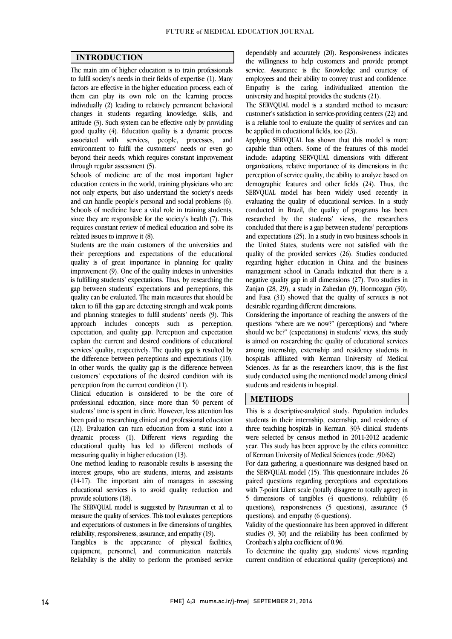$\overline{a}$  $\overline{a}$ 

#### INTRODUCTION

 The main aim of higher education is to train professionals to fulfil society's needs in their fields of expertise (1). Many them can play its own role on the learning process individually (2) leading to relatively permanent behavioral changes in students regarding knowledge, skills, and attitude (3). Such system can be effective only by providing associated with services, people, processes, and environment to fulfil the customers' needs or even go beyond their needs, which requires constant improvement factors are effective in the higher education process, each of good quality (4). Education quality is a dynamic process through regular assessment (5).

 Schools of medicine are of the most important higher education centers in the world, training physicians who are not only experts, but also understand the society's needs and can handle people's personal and social problems (6). Schools of medicine have a vital role in training students, requires constant review of medical education and solve its since they are responsible for the society's health (7). This related issues to improve it (8).

 Students are the main customers of the universities and quality is of great importance in planning for quality  $\frac{1}{2}$  improvement (9). One of the quality indexes in universities is fulfilling students' expectations. Thus, by researching the gap between students' expectations and perceptions, this taken to fill this gap are detecting strength and weak points and planning strategies to fulfil students' needs (9). This approach includes concepts such as perception, expectation, and quality gap. Perception and expectation services' quality, respectively. The quality gap is resulted by the difference between perceptions and expectations (10). In other words, the quality gap is the difference between customers' expectations of the desired condition with its their perceptions and expectations of the educational quality can be evaluated. The main measures that should be explain the current and desired conditions of educational perception from the current condition (11).

 Clinical education is considered to be the core of professional education, since more than 50 percent of students' time is spent in clinic. However, less attention has been paid to researching clinical and professional education<br>(12). Evaluation can turn education from a static into a dynamic process (1). Different views regarding the educational quality has led to different methods of been paid to researching clinical and professional education measuring quality in higher education (13).

 interest groups, who are students, interns, and assistants (14-17). The important aim of managers in assessing educational services is to avoid quality reduction and One method leading to reasonable results is assessing the provide solutions (18).

 measure the quality of services. This tool evaluates perceptions and expectations of customers in five dimensions of tangibles, The SERVQUAL model is suggested by Parasurman et al. to reliability, responsiveness, assurance, and empathy (19).

 Tangibles is the appearance of physical facilities, Reliability is the ability to perform the promised service equipment, personnel, and communication materials.

 the willingness to help customers and provide prompt service. Assurance is the Knowledge and courtesy of employees and their ability to convey trust and confidence. Empathy is the caring, individualized attention the university and hospital provides the students  $(21)$ dependably and accurately (20). Responsiveness indicates university and hospital provides the students (21).

 The SERVQUAL model is a standard method to measure customer's satisfaction in service-providing centers (22) and is a reliable tool to evaluate the quality of services and can be applied in educational fields, too (23).

 $\sum_{n=1}^{\infty}$  Applying SERVQUAL has shown that this model is more capable than others. Some of the features of this model include: adapting SERVQUAL dimensions with different perception of service quality, the ability to analyze based on demographic features and other fields (24). Thus, the SERVQUAL model has been widely used recently in evaluating the quality of educational services. In a study researched by the students' views, the researchers concluded that there is a gap between students' perceptions and expectations (25). In a study in two business schools in the United States, students were not satisfied with the regarding higher education in China and the business management school in Canada indicated that there is a negative quality gap in all dimensions (27). Two studies in Zanjan (28, 29), a study in Zahedan (9), Hormozgan (30), and Fasa (31) showed that the quality of services is not organizations, relative importance of its dimensions in the conducted in Brazil, the quality of programs has been quality of the provided services (26). Studies conducted desirable regarding different dimensions.

 Considering the importance of reaching the answers of the questions "where are we now?" (perceptions) and "where should we be?" (expectations) in students' views, this study among internship, externship and residency students in hospitals affiliated with Kerman University of Medical Sciences. As far as the researchers know, this is the first study conducted using the mentioned model among clinical<br>students and residents in hearital l is aimed on researching the quality of educational services students and residents in hospital.

### **METHODS**

 This is a descriptive-analytical study. Population includes statelis in their internsitip, externsitip, and residency of three teaching hospitals in Kerman. 303 clinical students were selected by census method in 2011-2012 academic year. This study has been approve by the ethics committee students in their internship, externship, and residency of of Kerman University of Medical Sciences (code: /90/62)

 $\overline{a}$ 

ot Kerman University of Medical Sciences (code: /90/62)<br>For data gathering, a questionnaire was designed based on the SERVQUAL model (15). This questionnaire includes 26 paired questions regarding perceptions and expectations with 7-point Likert scale (totally disagree to totally agree) in 5 dimensions of tangibles (4 questions), reliability (6 questions), responsiveness (5 questions), assurance (5 questions) and empathy (6 questions) questions), and empathy (6 questions).

 Validity of the questionnaire has been approved in different studies (9, 30) and the reliability has been confirmed by Cronbach's alpha coefficient of 0.96.

Cronbach s aipha coeincient of 0.90.<br>To determine the quality gap, students' views regarding current condition of educational quality (perceptions) and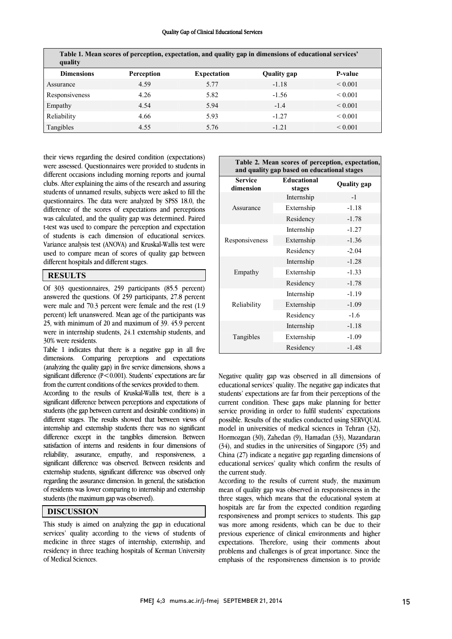#### Quality Gap of Clinical Educational Services

| quality           |            |                    | Table 1. Mean scores of perception, expectation, and quality gap in dimensions of educational services' |                   |
|-------------------|------------|--------------------|---------------------------------------------------------------------------------------------------------|-------------------|
| <b>Dimensions</b> | Perception | <b>Expectation</b> | Quality gap                                                                                             | P-value           |
| Assurance         | 4.59       | 5.77               | $-1.18$                                                                                                 | ${}_{0.001}$      |
| Responsiveness    | 4.26       | 5.82               | $-1.56$                                                                                                 | ${}_{0.001}$      |
| Empathy           | 4.54       | 5.94               | $-1.4$                                                                                                  | ${}_{0.001}$      |
| Reliability       | 4.66       | 5.93               | $-1.27$                                                                                                 | ${}_{0.001}$      |
| Tangibles         | 4.55       | 5.76               | $-1.21$                                                                                                 | ${}_{\leq 0.001}$ |

 their views regarding the desired condition (expectations) were assessed. Quesuonnaires were provided to students in<br>different occasions including morning reports and journal clubs. After explaining the aims of the research and assuring students of unnamed results, subjects were asked to fill the questionnaires. The data were analyzed by SPSS 18.0, the was calculated, and the quality gap was determined. Paired t-test was used to compare the perception and expectation of students is each dimension of educational services. Variance analysis test (ANOVA) and Kruskal-Wallis test were used to compare mean of scores of quality gap between<br>different bospitals and different stages  $\overline{a}$ were assessed. Questionnaires were provided to students in difference of the scores of expectations and perceptions different hospitals and different stages.

#### **RESULTS**

 Of 303 questionnaires, 259 participants (85.5 percent) answered the questions. Or 233 participants, 27.6 percent<br>were male and 70.3 percent were female and the rest (1.9 percent) left unanswered. Mean age of the participants was 25, with minimum of 20 and maximum of 39. 45.9 percent were in internship students, 24.1 externship students, and answered the questions. Of 259 participants, 27.8 percent 30% were residents.

 Table 1 indicates that there is a negative gap in all five dimensions. Comparing perceptions and expectations (analyzing the quality gap) in five service dimensions, shows a significant difference  $(P<0.001)$ . Students' expectations are far<br>faces the argument are different farming argumented to the sysfrom the current conditions of the services provided to them.

 According to the results of Kruskal-Wallis test, there is a significant difference between perceptions and expectations of students (the gap between current and desirable conditions) in different stages. The results showed that between views of internship and externship students there was no significant difference except in the tangibles dimension. Between satisfaction of interns and residents in four dimensions of reliability, assurance, empathy, and responsiveness, a significant difference was observed. Between residents and<br>externship students, significant difference was observed only regarding the assurance dimension. In general, the satisfaction of residents was lower comparing to internship and externship different stages. The results showed that between views of significant difference was observed. Between residents and students (the maximum gap was observed).

## DISCUSSION

 This study is aimed on analyzing the gap in educational services' quality according to the views of students of medicine in three stages of internship, externship, and residency in three teaching hospitals of Kerman University<br>of Medical Sciences of Medical Sciences.

| Table 2. Mean scores of perception, expectation,<br>and quality gap based on educational stages |                              |                    |  |  |  |
|-------------------------------------------------------------------------------------------------|------------------------------|--------------------|--|--|--|
| <b>Service</b><br>dimension                                                                     | <b>Educational</b><br>stages | <b>Quality</b> gap |  |  |  |
|                                                                                                 | Internship                   | $-1$               |  |  |  |
| Assurance                                                                                       | Externship                   | $-1.18$            |  |  |  |
|                                                                                                 | Residency                    | $-1.78$            |  |  |  |
|                                                                                                 | Internship                   | $-1.27$            |  |  |  |
| Responsiveness                                                                                  | Externship                   | $-1.36$            |  |  |  |
|                                                                                                 | Residency                    | $-2.04$            |  |  |  |
|                                                                                                 | Internship                   | $-1.28$            |  |  |  |
| Empathy                                                                                         | Externship                   | $-1.33$            |  |  |  |
|                                                                                                 | Residency                    | $-1.78$            |  |  |  |
|                                                                                                 | Internship                   | $-1.19$            |  |  |  |
| Reliability                                                                                     | Externship                   | $-1.09$            |  |  |  |
|                                                                                                 | Residency                    | $-1.6$             |  |  |  |
|                                                                                                 | Internship                   | $-1.18$            |  |  |  |
| Tangibles                                                                                       | Externship                   | $-1.09$            |  |  |  |
|                                                                                                 | Residency                    | $-1.48$            |  |  |  |

regative quality gap was observed in all differentiations of<br>educational services' quality. The negative gap indicates that students' expectations are far from their perceptions of the current condition. These gaps make planning for better service providing in order to fulfil students' expectations possible. Results of the statiles conducted using SERVQUAL model in universities of medical sciences in Tehran (32), Hormozgan (30), Zahedan (9), Hamadan (33), Mazandaran (34), and studies in the universities of Singapore (35) and China (27) indicate a negative gap regarding dimensions of educational services' quality which confirm the results of the current study. Negative quality gap was observed in all dimensions of possible. Results of the studies conducted using SERVQUAL the current study.

 According to the results of current study, the maximum mean of quality gap was observed in responsiveness in the three stages, which means that the educational system at responsiveness and prompt services to students. This gap was more among residents, which can be due to their previous experience of clinical environments and higher expectations. Therefore, using their comments about emphasis of the responsiveness dimension is to provide hospitals are far from the expected condition regarding problems and challenges is of great importance. Since the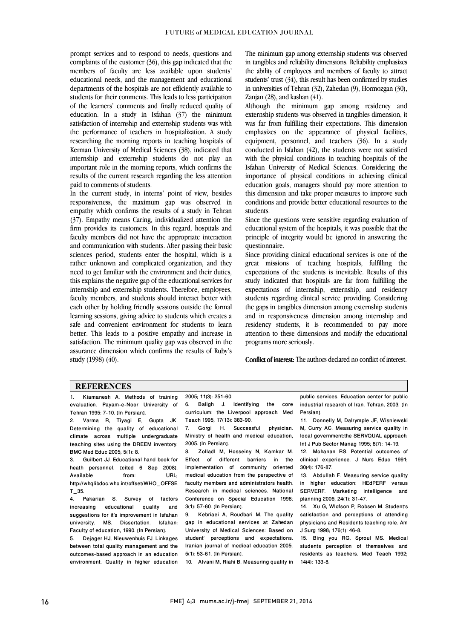prompt services and to respond to needs, questions and complaints of the customer (36), this gap indicated that the members of faculty are less available upon students' educational needs, and the management and educational students for their comments. This leads to less participation of the learners' comments and finally reduced quality of education. In a study in Isfahan (37) the minimum satisfaction of internship and externship students was with researching the morning reports in teaching hospitals of Kerman University of Medical Sciences  $(38)$ , indicated that internship and externship students do not play an important role in the morning reports, which confirms the results of the current research regarding the less attention<br>reid to commente of students departments of the hospitals are not efficiently available to the performance of teachers in hospitalization. A study paid to comments of students.

 In the current study, in interns' point of view, besides responsiveness, the maximum gap was observed in empathy which confirms the results of a study in Tehran firm provides its customers. In this regard, hospitals and faculty members did not have the appropriate interaction and communication with students. After passing their basic sciences period, students enter the hospital, which is a need to get familiar with the environment and their duties, this explains the negative gap of the educational services for internship and externship students. Therefore, employees, accuty members, and students should mieract better with<br>each other by holding friendly sessions outside the formal learning sessions, giving advice to students which creates a safe and convenient environment for students to learn better. This leads to a positive empathy and increase in satisfaction. The minimum quality gap was observed in the<br>essurence dimension which confirms the results of Puby's assurance dimension which confirms the results of Ruby's<br>study (1998) (40). (37). Empathy means Caring, individualized attention the rather unknown and complicated organization, and they faculty members, and students should interact better with study (1998) (40).

 The minimum gap among externship students was observed in tangibles and reliability dimensions. Reliability emphasizes the ability of employees and members of faculty to attract students' trust (34), this result has been confirmed by studies in universities of Tehran  $(32)$ , Zahedan  $(9)$ , Hormozgan  $(30)$ ,<br>Zanien  $(20)$ , and Irechan  $(41)$ Zanjan  $(28)$ , and kashan  $(41)$ .

Although the minimum gap among residency and externship students was observed in tangibles dimension, it was far from fulfilling their expectations. This dimension emphasizes on the appearance of physical factures,<br>equipment, personnel, and teachers (36). In a study conducted in Isfahan  $(42)$ , the students were not satisfied with the physical conditions in teaching hospitals of the Isfahan University of Medical Sciences. Considering the education goals, managers should pay more attention to this dimension and take proper measures to improve such conditions and provide better educational resources to the emphasizes on the appearance of physical facilities, importance of physical conditions in achieving clinical students.

students.<br>Since the questions were sensitive regarding evaluation of educational system of the hospitals, it was possible that the principle of integrity would be ignored in answering the questionnaire.

Since providing clinical educational services is one of the expectations of the students is inevitable. Results of this study indicated that hospitals are far from fulfilling the expectations of internship, externship, and residency students regarding clinical service providing. Considering and in responsiveness dimension among internship and residency students, it is recommended to pay more attention to these dimensions and modify the educational great missions of teaching hospitals, fulfilling the the gaps in tangibles dimension among externship students programs more seriously.

Conflict of interest: The authors declared no conflict of interest.

### **REFERENCES**

1. Kiamanesh A. Methods of training evaluation. Payam-e-Noor University of Tehran 1995: 7-10. [In Persian].

2. Varma R, Tiyagi E, Gupta JK. Determining the quality of educational climate across multiple undergraduate teaching sites using the DREEM inventory. BMC Med Educ 2005; 5(1): 8.<br>3. Guilbert JJ. Educationa

Guilbert JJ. Educational hand book for heath personnel. [cited 6 Sep 2008].<br>Available from: URL; Available from: URL; http://whqlibdoc.who.int/offset/WHO\_OFFSE T\_35.

4. Pakarian S. Survey of factors<br>increasing educational quality and increasing educational quality suggestions for it's improvement in Isfahan university. MS. Dissertation. Isfahan: Faculty of education, 1990. [In Persian].

5. Dejager HJ, Nieuwenhuis FJ. Linkages between total quality management and the outcomes-based approach in an education environment. Quality in higher education

l 2005; 11(3): 251-60.

 6. Baligh J. Identifying the core curriculum: the Liverpool approach. Med Teach 1995; 17(13): 383-90.

 $\overline{a}$ 

1each 1995; 17(13): 383-90.<br>7. Gorgi H. Successful physician. Ministry of health and medical education, 2005. [In Persian].

Effect of different barriers in the implementation of community oriented medical education from the perspective of<br>faculty members and administrators health. Research in medical sciences. National Conference on Special Education 1998; 8. Zolladl M, Hosseiny N, Kamkar M. medical education from the perspective of 3(1): 57-60. [In Persian].

 9. Kebriaei A, Roudbari M. The quality gap in educational services at Zahedan University of Medical Sciences: Based on<br>student' perceptions and expectations. Iranian journal of medical education 2005; 5(1): 53-61. [In Persian]. University of Medical Sciences: Based on

10. Alvani M, Riahi B. Measuring quality in

 $\overline{a}$  industrial research of Iran. Tehran, 2003. [In public services. Education center for public Persian].

 $\overline{a}$ 

11. Donnelly M, Dairympie JF, Wisniewski<br>M, Curry AC. Measuring service quality in local government:the SERVQUAL approach. 11. Donnelly M, Dalrymple JF, Wisniewski Int J Pub Sector Manag 1995; 8(7): 14-19.

clinical experience. J Nurs Educ 1991; 12. Mohanan RS. Potential outcomes of 30(4): 176-87.

13. Abdullah F. Measuring service quality<br>in higher education: HEdPERF versus SERVERF. Marketing intelligence and 13. Abdullah F. Measuring service quality planning 2006; 24(1): 31-47.

satisfaction and perceptions of attending physicians and Residents teaching role. Am 14. Xu G, Wlofson P, Robsen M. Student's J Surg 1998; 176(1): 46-8.

J Surg 1998; 176(1): 46-8.<br>15. Bing you RG, Sproul MS. Medical students perception of themselves and residents as teachers. Med Teach 1992; 14(4): 133-8.